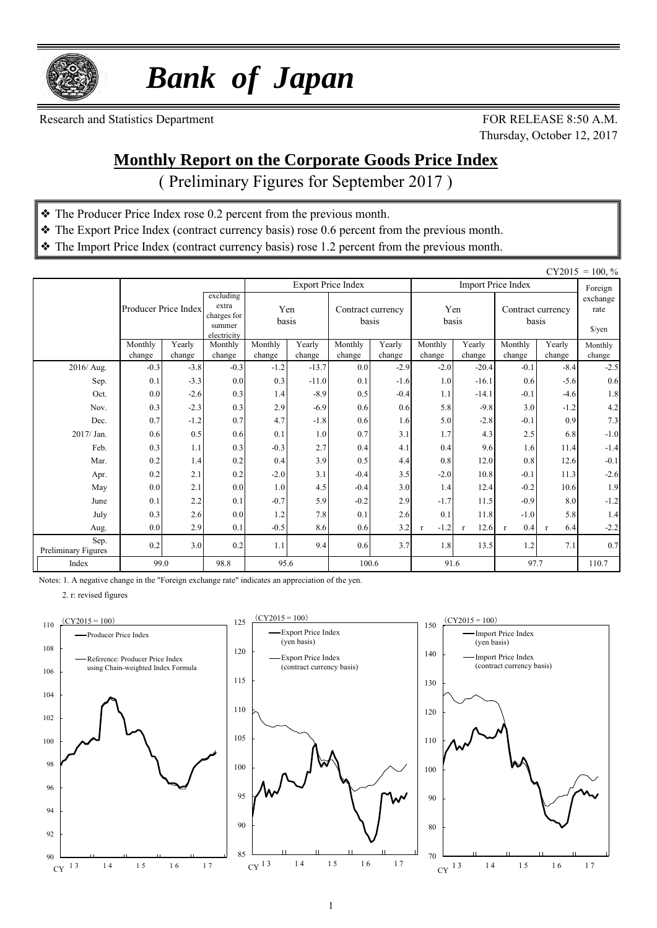

 *Bank of Japan*

Research and Statistics Department FOR RELEASE 8:50 A.M.

Thursday, October 12, 2017

#### **Monthly Report on the Corporate Goods Price Index**

( Preliminary Figures for September 2017 )

- ❖ The Producer Price Index rose 0.2 percent from the previous month.
- ❖ The Export Price Index (contract currency basis) rose 0.6 percent from the previous month.
- ❖ The Import Price Index (contract currency basis) rose 1.2 percent from the previous month.

| $CY2015 = 100, \%$          |                      |                  |                                                            |                  |                   |                           |                            |                        |                   |                           |                            |                  |
|-----------------------------|----------------------|------------------|------------------------------------------------------------|------------------|-------------------|---------------------------|----------------------------|------------------------|-------------------|---------------------------|----------------------------|------------------|
|                             |                      |                  |                                                            |                  |                   | <b>Export Price Index</b> |                            |                        |                   | <b>Import Price Index</b> |                            | Foreign          |
|                             | Producer Price Index |                  | excluding<br>extra<br>charges for<br>summer<br>electricity |                  | Yen<br>basis      |                           | Contract currency<br>basis |                        | Yen<br>basis      |                           | Contract currency<br>basis |                  |
|                             | Monthly              | Yearly           | Monthly                                                    | Monthly          | Yearly            | Monthly<br>Yearly         |                            | Monthly                | Yearly            | Monthly                   | Yearly                     | Monthly          |
| 2016/ Aug.                  | change<br>$-0.3$     | change<br>$-3.8$ | change<br>$-0.3$                                           | change<br>$-1.2$ | change<br>$-13.7$ | change<br>0.0             | change<br>$-2.9$           | change<br>$-2.0$       | change<br>$-20.4$ | change<br>$-0.1$          | change<br>$-8.4$           | change<br>$-2.5$ |
| Sep.                        | 0.1                  | $-3.3$           | 0.0                                                        | 0.3              | $-11.0$           | 0.1                       | $-1.6$                     | 1.0                    | $-16.1$           | 0.6                       | $-5.6$                     | 0.6              |
| Oct.                        | 0.0                  | $-2.6$           | 0.3                                                        | 1.4              | $-8.9$            | 0.5                       | $-0.4$                     | 1.1                    | $-14.1$           | $-0.1$                    | $-4.6$                     | 1.8              |
| Nov.                        | 0.3                  | $-2.3$           | 0.3                                                        | 2.9              | $-6.9$            | 0.6                       | 0.6                        | 5.8                    | $-9.8$            | 3.0                       | $-1.2$                     | 4.2              |
| Dec.                        | 0.7                  | $-1.2$           | 0.7                                                        | 4.7              | $-1.8$            | 0.6                       | 1.6                        | 5.0                    | $-2.8$            | $-0.1$                    | 0.9                        | 7.3              |
| 2017/ Jan.                  | 0.6                  | 0.5              | 0.6                                                        | 0.1              | 1.0               | 0.7                       | 3.1                        | 1.7                    | 4.3               | 2.5                       | 6.8                        | $-1.0$           |
| Feb.                        | 0.3                  | 1.1              | 0.3                                                        | $-0.3$           | 2.7               | 0.4                       | 4.1                        | 0.4                    | 9.6               | 1.6                       | 11.4                       | $-1.4$           |
| Mar.                        | 0.2                  | 1.4              | 0.2                                                        | 0.4              | 3.9               | 0.5                       | 4.4                        | 0.8                    | 12.0              | 0.8                       | 12.6                       | $-0.1$           |
| Apr.                        | 0.2                  | 2.1              | 0.2                                                        | $-2.0$           | 3.1               | $-0.4$                    | 3.5                        | $-2.0$                 | 10.8              | $-0.1$                    | 11.3                       | $-2.6$           |
| May                         | 0.0                  | 2.1              | 0.0                                                        | 1.0              | 4.5               | $-0.4$                    | 3.0                        | 1.4                    | 12.4              | $-0.2$                    | 10.6                       | 1.9              |
| June                        | 0.1                  | 2.2              | 0.1                                                        | $-0.7$           | 5.9               | $-0.2$                    | 2.9                        | $-1.7$                 | 11.5              | $-0.9$                    | 8.0                        | $-1.2$           |
| July                        | 0.3                  | 2.6              | 0.0                                                        | 1.2              | 7.8               | 0.1                       | 2.6                        | 0.1                    | 11.8              | $-1.0$                    | 5.8                        | 1.4              |
| Aug.                        | 0.0                  | 2.9              | 0.1                                                        | $-0.5$           | 8.6               | 0.6                       | 3.2                        | $-1.2$<br>$\mathbf{r}$ | 12.6              | 0.4<br>$\mathbf{r}$       | 6.4<br>$\mathbf{r}$        | $-2.2$           |
| Sep.<br>Preliminary Figures | 0.2                  | 3.0              | 0.2                                                        | 1.1              | 9.4               | 0.6                       | 3.7                        | 1.8                    | 13.5              | 1.2                       | 7.1                        | 0.7              |
| Index                       | 99.0                 |                  | 98.8                                                       | 95.6             |                   |                           | 100.6                      | 91.6                   |                   | 97.7                      |                            | 110.7            |

Notes: 1. A negative change in the "Foreign exchange rate" indicates an appreciation of the yen.

2. r: revised figures





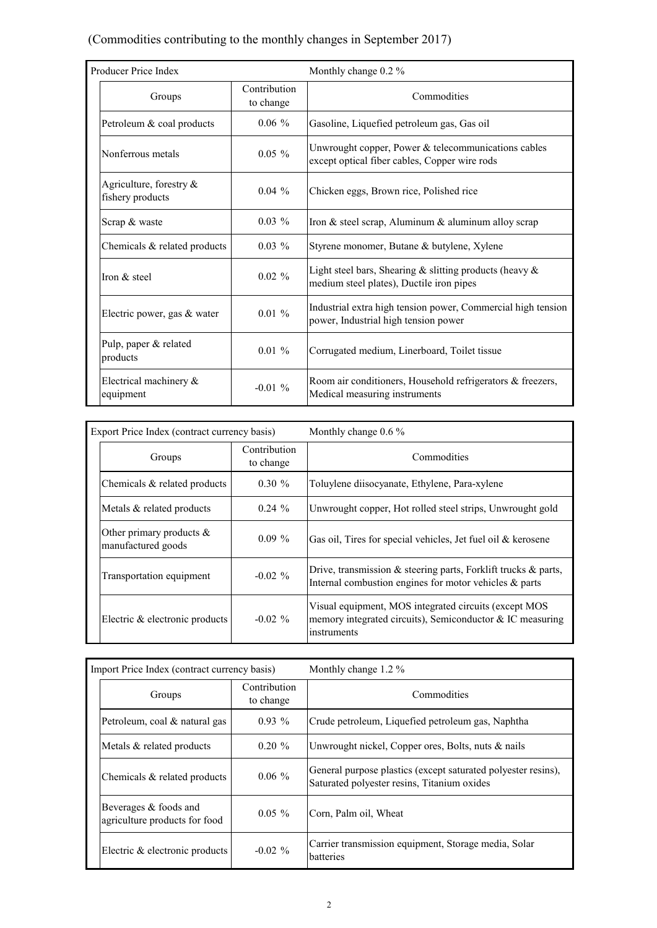#### (Commodities contributing to the monthly changes in September 2017)

| Producer Price Index                           |                                                                                                                   | Monthly change 0.2 %                                                                                   |  |  |  |  |
|------------------------------------------------|-------------------------------------------------------------------------------------------------------------------|--------------------------------------------------------------------------------------------------------|--|--|--|--|
| Groups                                         | Contribution<br>to change                                                                                         | Commodities                                                                                            |  |  |  |  |
| Petroleum & coal products                      | $0.06\%$                                                                                                          | Gasoline, Liquefied petroleum gas, Gas oil                                                             |  |  |  |  |
| Nonferrous metals                              | Unwrought copper, Power & telecommunications cables<br>$0.05 \%$<br>except optical fiber cables, Copper wire rods |                                                                                                        |  |  |  |  |
| Agriculture, forestry $\&$<br>fishery products | $0.04\%$                                                                                                          | Chicken eggs, Brown rice, Polished rice                                                                |  |  |  |  |
| Scrap & waste                                  | $0.03\%$                                                                                                          | Iron & steel scrap, Aluminum & aluminum alloy scrap                                                    |  |  |  |  |
| Chemicals & related products                   | $0.03\%$                                                                                                          | Styrene monomer, Butane & butylene, Xylene                                                             |  |  |  |  |
| Iron & steel                                   | $0.02 \%$                                                                                                         | Light steel bars, Shearing & slitting products (heavy $\&$<br>medium steel plates), Ductile iron pipes |  |  |  |  |
| Electric power, gas & water                    | $0.01\%$                                                                                                          | Industrial extra high tension power, Commercial high tension<br>power, Industrial high tension power   |  |  |  |  |
| Pulp, paper & related<br>products              | $0.01\%$                                                                                                          | Corrugated medium, Linerboard, Toilet tissue                                                           |  |  |  |  |
| Electrical machinery $\&$<br>equipment         | $-0.01\%$                                                                                                         | Room air conditioners, Household refrigerators & freezers,<br>Medical measuring instruments            |  |  |  |  |

| Export Price Index (contract currency basis)      |                                          | Monthly change $0.6\%$                                                                                                                |  |  |
|---------------------------------------------------|------------------------------------------|---------------------------------------------------------------------------------------------------------------------------------------|--|--|
| Groups                                            | Contribution<br>Commodities<br>to change |                                                                                                                                       |  |  |
| Chemicals $\&$ related products                   | $0.30 \%$                                | Toluylene diisocyanate, Ethylene, Para-xylene                                                                                         |  |  |
| Metals & related products                         | $0.24 \%$                                | Unwrought copper, Hot rolled steel strips, Unwrought gold                                                                             |  |  |
| Other primary products $\&$<br>manufactured goods | $0.09\%$                                 | Gas oil, Tires for special vehicles, Jet fuel oil $&$ kerosene                                                                        |  |  |
| Transportation equipment                          | $-0.02\%$                                | Drive, transmission $\&$ steering parts, Forklift trucks $\&$ parts,<br>Internal combustion engines for motor vehicles $\&$ parts     |  |  |
| Electric & electronic products                    | $-0.02\%$                                | Visual equipment, MOS integrated circuits (except MOS<br>memory integrated circuits), Semiconductor $&{}$ IC measuring<br>instruments |  |  |

| Import Price Index (contract currency basis)           |                           | Monthly change $1.2\%$                                                                                       |  |  |  |  |
|--------------------------------------------------------|---------------------------|--------------------------------------------------------------------------------------------------------------|--|--|--|--|
| Groups                                                 | Contribution<br>to change | Commodities                                                                                                  |  |  |  |  |
| Petroleum, coal & natural gas                          | $0.93\%$                  | Crude petroleum, Liquefied petroleum gas, Naphtha                                                            |  |  |  |  |
| Metals & related products                              | $0.20 \%$                 | Unwrought nickel, Copper ores, Bolts, nuts & nails                                                           |  |  |  |  |
| Chemicals $\&$ related products                        | $0.06\%$                  | General purpose plastics (except saturated polyester resins),<br>Saturated polyester resins, Titanium oxides |  |  |  |  |
| Beverages & foods and<br>agriculture products for food | $0.05\%$                  | Corn, Palm oil, Wheat                                                                                        |  |  |  |  |
| Electric & electronic products                         | $-0.02 \%$                | Carrier transmission equipment, Storage media, Solar<br><b>batteries</b>                                     |  |  |  |  |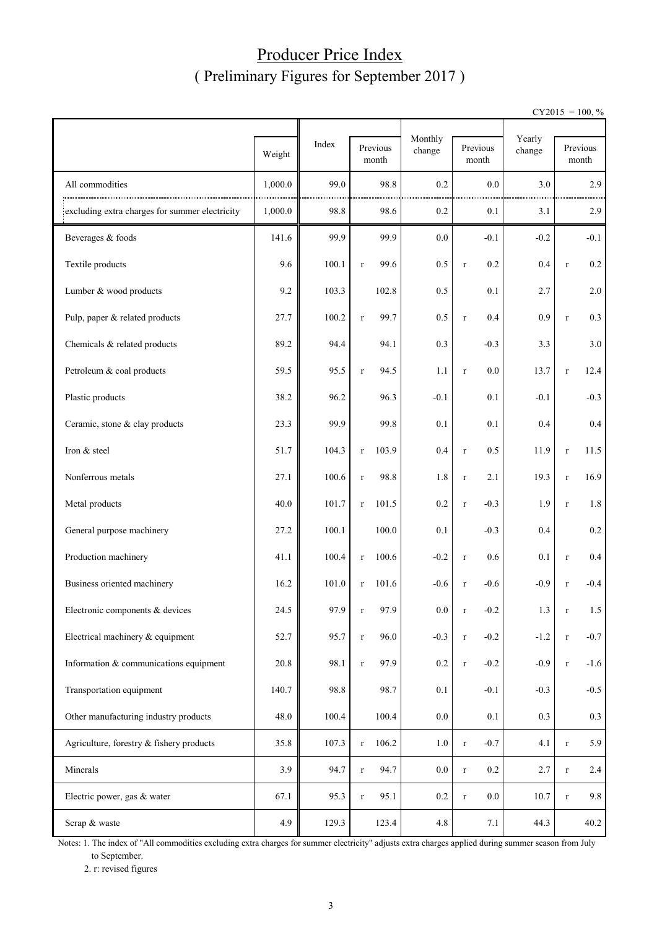## Producer Price Index ( Preliminary Figures for September 2017 )

 $CY2015 = 100, \%$ 

|                                                | Weight  | Index | Previous<br>month     | Monthly<br>change | Previous<br>month      | Yearly<br>change | Previous<br>month      |
|------------------------------------------------|---------|-------|-----------------------|-------------------|------------------------|------------------|------------------------|
| All commodities                                | 1,000.0 | 99.0  | 98.8                  | 0.2               | 0.0                    | 3.0              | 2.9                    |
| excluding extra charges for summer electricity | 1,000.0 | 98.8  | 98.6                  | 0.2               | 0.1                    | 3.1              | 2.9                    |
| Beverages & foods                              | 141.6   | 99.9  | 99.9                  | 0.0               | $-0.1$                 | $-0.2$           | $-0.1$                 |
| Textile products                               | 9.6     | 100.1 | 99.6<br>$\mathbf r$   | 0.5               | 0.2<br>$\mathbf r$     | 0.4              | $0.2\,$<br>$\mathbf r$ |
| Lumber & wood products                         | 9.2     | 103.3 | 102.8                 | 0.5               | 0.1                    | 2.7              | 2.0                    |
| Pulp, paper & related products                 | 27.7    | 100.2 | 99.7<br>$\mathbf r$   | 0.5               | 0.4<br>$\mathbf r$     | 0.9              | 0.3<br>$\mathbf r$     |
| Chemicals & related products                   | 89.2    | 94.4  | 94.1                  | 0.3               | $-0.3$                 | 3.3              | 3.0                    |
| Petroleum & coal products                      | 59.5    | 95.5  | 94.5<br>$\mathbf r$   | 1.1               | 0.0<br>$\mathbf r$     | 13.7             | 12.4<br>$\mathbf r$    |
| Plastic products                               | 38.2    | 96.2  | 96.3                  | $-0.1$            | 0.1                    | $-0.1$           | $-0.3$                 |
| Ceramic, stone & clay products                 | 23.3    | 99.9  | 99.8                  | 0.1               | 0.1                    | 0.4              | $0.4\,$                |
| Iron & steel                                   | 51.7    | 104.3 | 103.9<br>$\mathbf r$  | 0.4               | 0.5<br>$\mathbf r$     | 11.9             | 11.5<br>$\mathbf r$    |
| Nonferrous metals                              | 27.1    | 100.6 | 98.8<br>$\mathbf r$   | 1.8               | 2.1<br>$\mathbf r$     | 19.3             | 16.9<br>$\mathbf r$    |
| Metal products                                 | 40.0    | 101.7 | 101.5<br>$\mathbf r$  | 0.2               | $-0.3$<br>$\mathbf r$  | 1.9              | 1.8<br>$\mathbf r$     |
| General purpose machinery                      | 27.2    | 100.1 | 100.0                 | 0.1               | $-0.3$                 | 0.4              | $0.2\,$                |
| Production machinery                           | 41.1    | 100.4 | 100.6<br>$\mathbf r$  | $-0.2$            | 0.6<br>$\mathbf r$     | 0.1              | 0.4<br>$\mathbf r$     |
| Business oriented machinery                    | 16.2    | 101.0 | 101.6<br>$\mathbf{r}$ | $-0.6$            | $-0.6$<br>$\mathbf r$  | $-0.9$           | $-0.4$<br>$\mathbf r$  |
| Electronic components & devices                | 24.5    | 97.9  | 97.9                  | $0.0\,$           | $-0.2$                 | 1.3              | 1.5<br>r               |
| Electrical machinery & equipment               | 52.7    | 95.7  | 96.0<br>$\mathbf r$   | $-0.3$            | $-0.2$<br>$\mathbf r$  | $-1.2$           | $-0.7$<br>$\mathbf r$  |
| Information & communications equipment         | 20.8    | 98.1  | 97.9<br>$\mathbf r$   | 0.2               | $-0.2$<br>$\mathbf r$  | $-0.9$           | $-1.6$<br>$\mathbf r$  |
| Transportation equipment                       | 140.7   | 98.8  | 98.7                  | 0.1               | $-0.1$                 | $-0.3$           | $-0.5$                 |
| Other manufacturing industry products          | 48.0    | 100.4 | 100.4                 | $0.0\,$           | $0.1\,$                | 0.3              | 0.3                    |
| Agriculture, forestry & fishery products       | 35.8    | 107.3 | 106.2<br>$\mathbf r$  | $1.0\,$           | $-0.7$<br>$\mathbf r$  | 4.1              | 5.9<br>$\mathbf r$     |
| Minerals                                       | 3.9     | 94.7  | 94.7<br>$\mathbf r$   | $0.0\,$           | 0.2<br>$\mathbf r$     | 2.7              | 2.4<br>$\mathbf r$     |
| Electric power, gas & water                    | 67.1    | 95.3  | 95.1<br>$\mathbf r$   | $0.2\,$           | $0.0\,$<br>$\mathbf r$ | 10.7             | 9.8<br>$\mathbf r$     |
| Scrap & waste                                  | 4.9     | 129.3 | 123.4                 | 4.8               | 7.1                    | 44.3             | 40.2                   |

Notes: 1. The index of "All commodities excluding extra charges for summer electricity" adjusts extra charges applied during summer season from July to September.

2. r: revised figures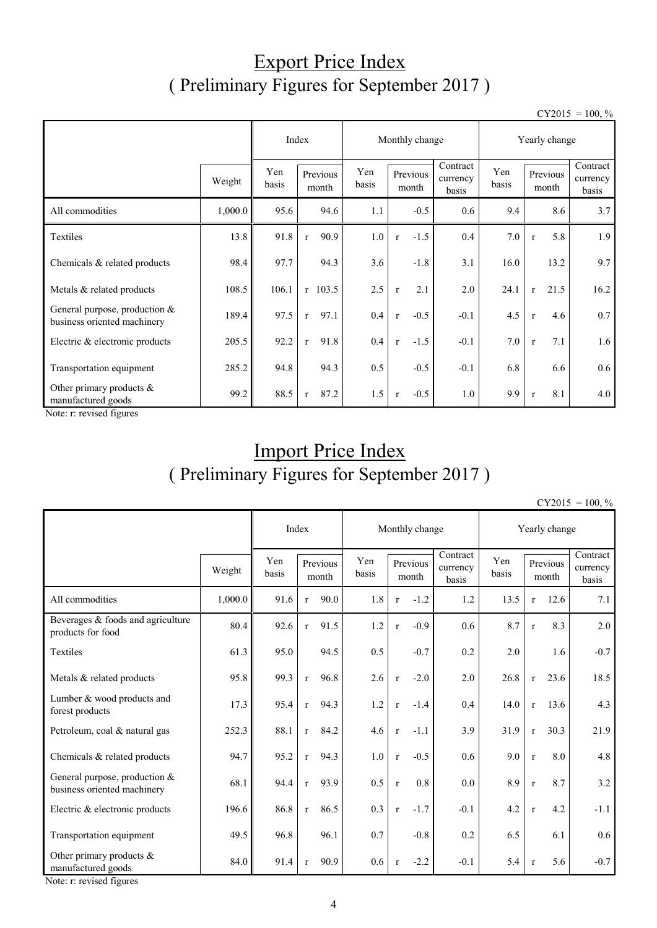## Export Price Index ( Preliminary Figures for September 2017 )

 $CY2015 = 100, \%$ 

|                                                                |         | Index        | Monthly change       |              |                        | Yearly change                 |              |                      |                               |
|----------------------------------------------------------------|---------|--------------|----------------------|--------------|------------------------|-------------------------------|--------------|----------------------|-------------------------------|
|                                                                | Weight  | Yen<br>basis | Previous<br>month    | Yen<br>basis | Previous<br>month      | Contract<br>currency<br>basis | Yen<br>basis | Previous<br>month    | Contract<br>currency<br>basis |
| All commodities                                                | 1,000.0 | 95.6         | 94.6                 | 1.1          | $-0.5$                 | 0.6                           | 9.4          | 8.6                  | 3.7                           |
| Textiles                                                       | 13.8    | 91.8         | 90.9<br>$\mathbf{r}$ | 1.0          | $-1.5$<br>$\mathbf{r}$ | 0.4                           | 7.0          | 5.8<br>$\mathbf{r}$  | 1.9                           |
| Chemicals & related products                                   | 98.4    | 97.7         | 94.3                 | 3.6          | $-1.8$                 | 3.1                           | 16.0         | 13.2                 | 9.7                           |
| Metals & related products                                      | 108.5   | 106.1        | $r$ 103.5            | 2.5          | 2.1<br>$\mathbf{r}$    | 2.0                           | 24.1         | 21.5<br>$\mathbf{r}$ | 16.2                          |
| General purpose, production $&$<br>business oriented machinery | 189.4   | 97.5         | 97.1<br>$\mathbf{r}$ | 0.4          | $-0.5$<br>$\mathbf{r}$ | $-0.1$                        | 4.5          | 4.6<br>$\mathbf{r}$  | 0.7                           |
| Electric & electronic products                                 | 205.5   | 92.2         | 91.8<br>$\mathbf{r}$ | 0.4          | $-1.5$<br>$\mathbf{r}$ | $-0.1$                        | 7.0          | 7.1<br>$\mathbf{r}$  | 1.6                           |
| Transportation equipment                                       | 285.2   | 94.8         | 94.3                 | 0.5          | $-0.5$                 | $-0.1$                        | 6.8          | 6.6                  | 0.6                           |
| Other primary products &<br>manufactured goods                 | 99.2    | 88.5         | 87.2<br>$\mathbf{r}$ | 1.5          | $-0.5$<br>$\mathbf{r}$ | 1.0                           | 9.9          | 8.1<br>$\mathbf{r}$  | 4.0                           |

Note: r: revised figures

## Import Price Index ( Preliminary Figures for September 2017 )

 $CY2015 = 100, \%$ 

|                                                                |         | Index        |              | Monthly change    |              |                   | Yearly change |                               |              |              |                   |                               |
|----------------------------------------------------------------|---------|--------------|--------------|-------------------|--------------|-------------------|---------------|-------------------------------|--------------|--------------|-------------------|-------------------------------|
|                                                                | Weight  | Yen<br>basis |              | Previous<br>month | Yen<br>basis | Previous<br>month |               | Contract<br>currency<br>basis | Yen<br>basis |              | Previous<br>month | Contract<br>currency<br>basis |
| All commodities                                                | 1,000.0 | 91.6         | $\mathbf{r}$ | 90.0              | 1.8          | $\mathbf{r}$      | $-1.2$        | 1.2                           | 13.5         | $r_{\rm}$    | 12.6              | 7.1                           |
| Beverages & foods and agriculture<br>products for food         | 80.4    | 92.6         | $\mathbf{r}$ | 91.5              | 1.2          | $\mathbf{r}$      | $-0.9$        | 0.6                           | 8.7          | $\mathbf{r}$ | 8.3               | 2.0                           |
| Textiles                                                       | 61.3    | 95.0         |              | 94.5              | 0.5          |                   | $-0.7$        | 0.2                           | 2.0          |              | 1.6               | $-0.7$                        |
| Metals & related products                                      | 95.8    | 99.3         | $\mathbf{r}$ | 96.8              | 2.6          | $\mathbf{r}$      | $-2.0$        | 2.0                           | 26.8         | $\mathbf{r}$ | 23.6              | 18.5                          |
| Lumber & wood products and<br>forest products                  | 17.3    | 95.4         | $\mathbf{r}$ | 94.3              | 1.2          | $\mathbf{r}$      | $-1.4$        | 0.4                           | 14.0         | $\mathbf{r}$ | 13.6              | 4.3                           |
| Petroleum, coal & natural gas                                  | 252.3   | 88.1         | $\mathbf{r}$ | 84.2              | 4.6          | $\mathbf{r}$      | $-1.1$        | 3.9                           | 31.9         | $\mathbf{r}$ | 30.3              | 21.9                          |
| Chemicals & related products                                   | 94.7    | 95.2         | $\mathbf{r}$ | 94.3              | 1.0          | $\mathbf{r}$      | $-0.5$        | 0.6                           | 9.0          | $\mathbf r$  | 8.0               | 4.8                           |
| General purpose, production $&$<br>business oriented machinery | 68.1    | 94.4         | $\mathbf{r}$ | 93.9              | 0.5          | $\mathbf{r}$      | 0.8           | 0.0                           | 8.9          | $\mathbf r$  | 8.7               | 3.2                           |
| Electric & electronic products                                 | 196.6   | 86.8         | $\mathbf{r}$ | 86.5              | 0.3          | $\mathbf{r}$      | $-1.7$        | $-0.1$                        | 4.2          | $\mathbf{r}$ | 4.2               | $-1.1$                        |
| Transportation equipment                                       | 49.5    | 96.8         |              | 96.1              | 0.7          |                   | $-0.8$        | 0.2                           | 6.5          |              | 6.1               | 0.6                           |
| Other primary products &<br>manufactured goods                 | 84.0    | 91.4         | $\mathbf{r}$ | 90.9              | 0.6          | $\mathbf{r}$      | $-2.2$        | $-0.1$                        | 5.4          | $\mathbf{r}$ | 5.6               | $-0.7$                        |

Note: r: revised figures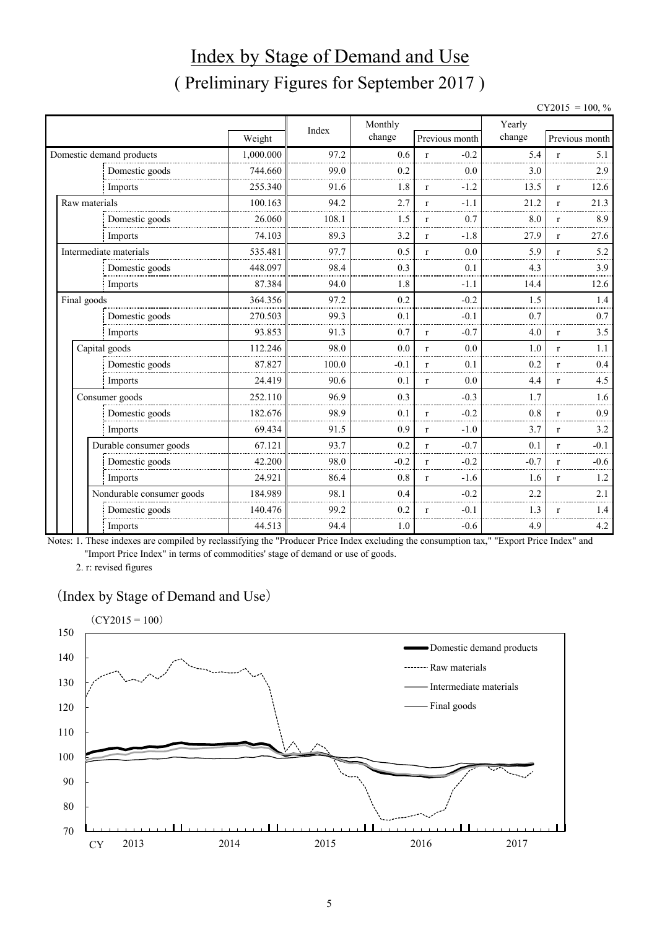# Index by Stage of Demand and Use ( Preliminary Figures for September 2017 )

| $CY2015 = 100, \%$ |  |  |
|--------------------|--|--|
|                    |  |  |

|                          |                           |           | Index | Monthly |              |                | Yearly |              |                |
|--------------------------|---------------------------|-----------|-------|---------|--------------|----------------|--------|--------------|----------------|
|                          |                           | Weight    |       | change  |              | Previous month | change |              | Previous month |
| Domestic demand products |                           | 1,000.000 | 97.2  | 0.6     | $\mathbf{r}$ | $-0.2$         | 5.4    | $\mathbf{r}$ | 5.1            |
|                          | Domestic goods            | 744.660   | 99.0  | 0.2     |              | 0.0            | 3.0    |              | 2.9            |
|                          | Imports                   | 255.340   | 91.6  | 1.8     | $\mathbf{r}$ | $-1.2$         | 13.5   | $\mathbf{r}$ | 12.6           |
| Raw materials            |                           | 100.163   | 94.2  | 2.7     | $\mathbf{r}$ | $-1.1$         | 21.2   | $\mathbf{r}$ | 21.3           |
|                          | Domestic goods            | 26.060    | 108.1 | 1.5     | $\mathbf{r}$ | 0.7            | 8.0    | $\mathbf{r}$ | 8.9            |
|                          | Imports                   | 74.103    | 89.3  | 3.2     | $\mathbf{r}$ | $-1.8$         | 27.9   | $\mathbf{r}$ | 27.6           |
| Intermediate materials   |                           | 535.481   | 97.7  | 0.5     | $\mathbf{r}$ | 0.0            | 5.9    | $\mathbf{r}$ | 5.2            |
|                          | Domestic goods            | 448.097   | 98.4  | 0.3     |              | 0.1            | 4.3    |              | 3.9            |
|                          | Imports                   | 87.384    | 94.0  | 1.8     |              | $-1.1$         | 14.4   |              | 12.6           |
| Final goods              |                           | 364.356   | 97.2  | 0.2     |              | $-0.2$         | 1.5    |              | 1.4            |
|                          | Domestic goods            | 270.503   | 99.3  | 0.1     |              | $-0.1$         | 0.7    |              | 0.7            |
|                          | Imports                   | 93.853    | 91.3  | 0.7     | $\mathbf{r}$ | $-0.7$         | 4.0    | $\mathbf{r}$ | 3.5            |
| Capital goods            |                           | 112.246   | 98.0  | 0.0     | $\mathbf{r}$ | 0.0            | 1.0    | $\mathbf{r}$ | 1.1            |
|                          | Domestic goods            | 87.827    | 100.0 | $-0.1$  | $\mathbf{r}$ | 0.1            | 0.2    | $\mathbf{r}$ | 0.4            |
|                          | Imports                   | 24.419    | 90.6  | 0.1     | $\mathbf{r}$ | 0.0            | 4.4    | $\mathbf{r}$ | 4.5            |
| Consumer goods           |                           | 252.110   | 96.9  | 0.3     |              | $-0.3$         | 1.7    |              | 1.6            |
|                          | Domestic goods            | 182.676   | 98.9  | 0.1     | r            | $-0.2$         | 0.8    | $\mathbf{r}$ | 0.9            |
|                          | Imports                   | 69.434    | 91.5  | 0.9     | $\mathbf{r}$ | $-1.0$         | 3.7    | $\mathbf{r}$ | 3.2            |
|                          | Durable consumer goods    | 67.121    | 93.7  | 0.2     | $\mathbf{r}$ | $-0.7$         | 0.1    | $\mathbf{r}$ | $-0.1$         |
|                          | Domestic goods            | 42.200    | 98.0  | $-0.2$  | $\mathbf{r}$ | $-0.2$         | $-0.7$ | $\mathbf{r}$ | $-0.6$         |
|                          | Imports                   | 24.921    | 86.4  | 0.8     | $\mathbf{r}$ | $-1.6$         | 1.6    | $\mathbf{r}$ | 1.2            |
|                          | Nondurable consumer goods | 184.989   | 98.1  | 0.4     |              | $-0.2$         | 2.2    |              | 2.1            |
|                          | Domestic goods            | 140.476   | 99.2  | 0.2     | r            | $-0.1$         | 1.3    | r            | 1.4            |
|                          | Imports                   | 44.513    | 94.4  | 1.0     |              | $-0.6$         | 4.9    |              | 4.2            |

Notes: 1. These indexes are compiled by reclassifying the "Producer Price Index excluding the consumption tax," "Export Price Index" and "Import Price Index" in terms of commodities' stage of demand or use of goods.

2. r: revised figures

#### (Index by Stage of Demand and Use)

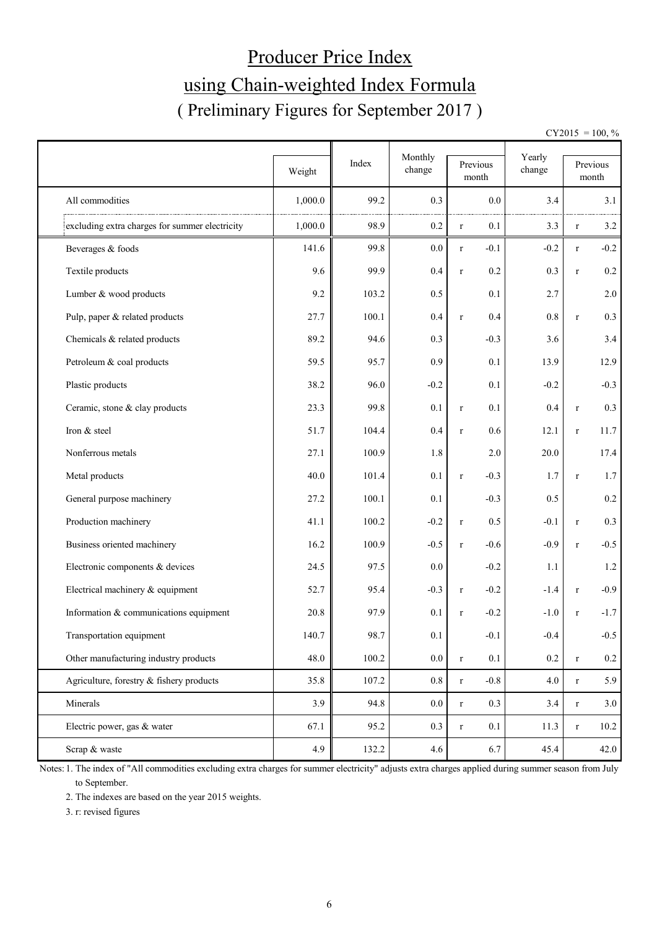# Producer Price Index using Chain-weighted Index Formula ( Preliminary Figures for September 2017 )

 $CY2015 = 100, \%$ 

|                                                | Weight  | Index | Monthly<br>change |              | Previous<br>month | Yearly<br>change |              | Previous<br>month |
|------------------------------------------------|---------|-------|-------------------|--------------|-------------------|------------------|--------------|-------------------|
| All commodities                                | 1,000.0 | 99.2  | 0.3               |              | 0.0               | 3.4              |              | 3.1               |
| excluding extra charges for summer electricity | 1,000.0 | 98.9  | 0.2               | $\mathbf r$  | 0.1               | 3.3              | $\mathbf r$  | 3.2               |
| Beverages & foods                              | 141.6   | 99.8  | 0.0               | $\mathbf{r}$ | $-0.1$            | $-0.2$           | $\mathbf{r}$ | $-0.2$            |
| Textile products                               | 9.6     | 99.9  | 0.4               | $\mathbf r$  | 0.2               | 0.3              | $\mathbf r$  | 0.2               |
| Lumber & wood products                         | 9.2     | 103.2 | 0.5               |              | 0.1               | 2.7              |              | $2.0\,$           |
| Pulp, paper & related products                 | 27.7    | 100.1 | 0.4               | $\mathbf r$  | 0.4               | 0.8              | $\mathbf{r}$ | 0.3               |
| Chemicals & related products                   | 89.2    | 94.6  | 0.3               |              | $-0.3$            | 3.6              |              | 3.4               |
| Petroleum & coal products                      | 59.5    | 95.7  | 0.9               |              | 0.1               | 13.9             |              | 12.9              |
| Plastic products                               | 38.2    | 96.0  | $-0.2$            |              | 0.1               | $-0.2$           |              | $-0.3$            |
| Ceramic, stone & clay products                 | 23.3    | 99.8  | 0.1               | $\mathbf r$  | 0.1               | 0.4              | $\mathbf r$  | 0.3               |
| Iron & steel                                   | 51.7    | 104.4 | 0.4               | $\mathbf{r}$ | 0.6               | 12.1             | $\mathbf r$  | 11.7              |
| Nonferrous metals                              | 27.1    | 100.9 | 1.8               |              | 2.0               | 20.0             |              | 17.4              |
| Metal products                                 | 40.0    | 101.4 | 0.1               | $\mathbf{r}$ | $-0.3$            | 1.7              | $\mathbf r$  | 1.7               |
| General purpose machinery                      | 27.2    | 100.1 | 0.1               |              | $-0.3$            | 0.5              |              | $0.2\,$           |
| Production machinery                           | 41.1    | 100.2 | $-0.2$            | $\mathbf r$  | 0.5               | $-0.1$           | $\mathbf r$  | 0.3               |
| Business oriented machinery                    | 16.2    | 100.9 | $-0.5$            | $\mathbf r$  | $-0.6$            | $-0.9$           | $\mathbf r$  | $-0.5$            |
| Electronic components & devices                | 24.5    | 97.5  | 0.0               |              | $-0.2$            | 1.1              |              | $1.2$             |
| Electrical machinery & equipment               | 52.7    | 95.4  | $-0.3$            | $\mathbf r$  | $-0.2$            | $-1.4$           | $\mathbf r$  | $-0.9$            |
| Information & communications equipment         | 20.8    | 97.9  | 0.1               | $\mathbf r$  | $-0.2$            | $-1.0$           | $\mathbf{r}$ | $-1.7$            |
| Transportation equipment                       | 140.7   | 98.7  | 0.1               |              | $-0.1$            | $-0.4$           |              | $-0.5$            |
| Other manufacturing industry products          | 48.0    | 100.2 | $0.0\,$           | $\mathbf r$  | 0.1               | $0.2\,$          | $\mathbf r$  | $0.2\,$           |
| Agriculture, forestry & fishery products       | 35.8    | 107.2 | $0.8\,$           | $\mathbf r$  | $-0.8$            | 4.0              | $\mathbf r$  | 5.9               |
| Minerals                                       | 3.9     | 94.8  | $0.0\,$           | $\mathbf r$  | 0.3               | 3.4              | $\mathbf r$  | 3.0               |
| Electric power, gas & water                    | 67.1    | 95.2  | 0.3               | $\mathbf r$  | 0.1               | 11.3             | $\mathbf r$  | 10.2              |
| Scrap & waste                                  | 4.9     | 132.2 | 4.6               |              | 6.7               | 45.4             |              | 42.0              |

Notes: 1. The index of "All commodities excluding extra charges for summer electricity" adjusts extra charges applied during summer season from July to September.

2. The indexes are based on the year 2015 weights.

3. r: revised figures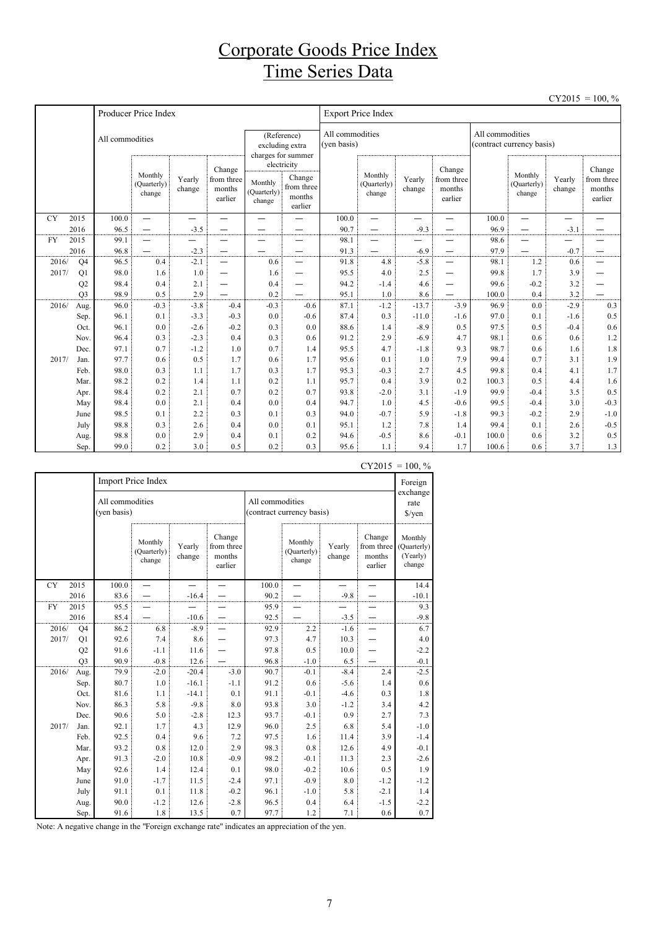## Corporate Goods Price Index Time Series Data

|           |                |                 |                                  |                  |                                           |                                  |                                                          |                                |                                  |                  |                                           |                 |                                  |                  | $CY2015 = 100, \%$                        |
|-----------|----------------|-----------------|----------------------------------|------------------|-------------------------------------------|----------------------------------|----------------------------------------------------------|--------------------------------|----------------------------------|------------------|-------------------------------------------|-----------------|----------------------------------|------------------|-------------------------------------------|
|           |                |                 | Producer Price Index             |                  |                                           |                                  |                                                          | <b>Export Price Index</b>      |                                  |                  |                                           |                 |                                  |                  |                                           |
|           |                | All commodities |                                  |                  |                                           |                                  | (Reference)<br>excluding extra<br>charges for summer     | All commodities<br>(ven basis) |                                  |                  |                                           | All commodities | (contract currency basis)        |                  |                                           |
|           |                |                 | Monthly<br>(Quarterly)<br>change | Yearly<br>change | Change<br>from three<br>months<br>earlier | Monthly<br>(Quarterly)<br>change | electricity<br>Change<br>from three<br>months<br>earlier |                                | Monthly<br>(Quarterly)<br>change | Yearly<br>change | Change<br>from three<br>months<br>earlier |                 | Monthly<br>(Quarterly)<br>change | Yearly<br>change | Change<br>from three<br>months<br>earlier |
| <b>CY</b> | 2015           | 100.0           | $\equiv$                         | —                | —                                         | $\overline{\phantom{0}}$         | —                                                        | 100.0                          | $\overline{\phantom{0}}$         | —                | —                                         | 100.0           | $\equiv$                         | —                |                                           |
|           | 2016           | 96.5            |                                  | $-3.5$           |                                           |                                  |                                                          | 90.7                           |                                  | $-9.3$           |                                           | 96.9            | —                                | $-3.1$           |                                           |
| <b>FY</b> | 2015           | 99.1            | —                                |                  |                                           |                                  |                                                          | 98.1                           |                                  |                  |                                           | 98.6            | —                                |                  |                                           |
|           | 2016           | 96.8            | $\overbrace{\phantom{1232211}}$  | $-2.3$           |                                           |                                  | —                                                        | 91.3                           | —                                | $-6.9$           |                                           | 97.9            | —                                | $-0.7$           |                                           |
| 2016/     | Q <sub>4</sub> | 96.5            | 0.4                              | $-2.1$           | $\overline{\phantom{0}}$                  | 0.6                              | $\overline{\phantom{0}}$                                 | 91.8                           | 4.8                              | $-5.8$           | —                                         | 98.1            | 1.2                              | 0.6              |                                           |
| 2017/     | Q1             | 98.0            | 1.6                              | 1.0              | $\overline{\phantom{0}}$                  | 1.6                              | $\overline{\phantom{0}}$                                 | 95.5                           | 4.0                              | 2.5              | —                                         | 99.8            | 1.7                              | 3.9              |                                           |
|           | Q2             | 98.4            | 0.4                              | 2.1              | —                                         | 0.4                              | $\overline{\phantom{0}}$                                 | 94.2                           | $-1.4$                           | 4.6              | -                                         | 99.6            | $-0.2$                           | 3.2              |                                           |
| 2016/     | O <sub>3</sub> | 98.9<br>96.0    | 0.5<br>$-0.3$                    | 2.9<br>$-3.8$    | —<br>$-0.4$                               | 0.2<br>$-0.3$                    | $-0.6$                                                   | 95.1<br>87.1                   | 1.0<br>$-1.2$                    | 8.6<br>$-13.7$   | $-3.9$                                    | 100.0<br>96.9   | 0.4<br>0.0                       | 3.2<br>$-2.9$    | 0.3                                       |
|           | Aug.           | 96.1            | 0.1                              | $-3.3$           | $-0.3$                                    | 0.0                              | $-0.6$                                                   | 87.4                           | 0.3                              | $-11.0$          | $-1.6$                                    | 97.0            | 0.1                              | $-1.6$           | 0.5                                       |
|           | Sep.<br>Oct.   | 96.1            | 0.0                              | $-2.6$           | $-0.2$                                    | 0.3                              | 0.0                                                      | 88.6                           | 1.4                              | $-8.9$           | 0.5                                       | 97.5            | 0.5                              | $-0.4$           | 0.6                                       |
|           | Nov.           | 96.4            | 0.3                              | $-2.3$           | 0.4                                       | 0.3                              | 0.6                                                      | 91.2                           | 2.9                              | $-6.9$           | 4.7                                       | 98.1            | 0.6                              | 0.6              | 1.2                                       |
|           | Dec.           | 97.1            | 0.7                              | $-1.2$           | 1.0                                       | 0.7                              | 1.4                                                      | 95.5                           | 4.7                              | $-1.8$           | 9.3                                       | 98.7            | 0.6                              | 1.6              | 1.8                                       |
| 2017/     | Jan.           | 97.7            | 0.6                              | 0.5              | 1.7                                       | 0.6                              | 1.7                                                      | 95.6                           | 0.1                              | 1.0              | 7.9                                       | 99.4            | 0.7                              | 3.1              | 1.9                                       |
|           | Feb.           | 98.0            | 0.3                              | 1.1              | 1.7                                       | 0.3                              | 1.7                                                      | 95.3                           | $-0.3$                           | 2.7              | 4.5                                       | 99.8            | 0.4                              | 4.1              | 1.7                                       |
|           | Mar.           | 98.2            | 0.2                              | 1.4              | 1.1                                       | 0.2                              | 1.1                                                      | 95.7                           | 0.4                              | 3.9              | 0.2                                       | 100.3           | 0.5                              | 4.4              | 1.6                                       |
|           | Apr.           | 98.4            | 0.2                              | 2.1              | 0.7                                       | 0.2                              | 0.7                                                      | 93.8                           | $-2.0$                           | 3.1              | $-1.9$                                    | 99.9            | $-0.4$                           | 3.5              | 0.5                                       |
|           | May            | 98.4            | 0.0                              | 2.1              | 0.4                                       | 0.0                              | 0.4                                                      | 94.7                           | 1.0                              | 4.5              | $-0.6$                                    | 99.5            | $-0.4$                           | 3.0              | $-0.3$                                    |
|           | June           | 98.5            | 0.1                              | 2.2              | 0.3                                       | 0.1                              | 0.3                                                      | 94.0                           | $-0.7$                           | 5.9              | $-1.8$                                    | 99.3            | $-0.2$                           | 2.9              | $-1.0$                                    |
|           | July           | 98.8            | 0.3                              | 2.6              | 0.4                                       | 0.0                              | 0.1                                                      | 95.1                           | 1.2                              | 7.8              | 1.4                                       | 99.4            | 0.1                              | 2.6              | $-0.5$                                    |
|           | Aug.           | 98.8            | 0.0                              | 2.9              | 0.4                                       | 0.1                              | 0.2                                                      | 94.6                           | $-0.5$                           | 8.6              | $-0.1$                                    | 100.0           | 0.6                              | 3.2              | 0.5                                       |
|           | Sep.           | 99.0            | 0.2                              | 3.0              | 0.5                                       | 0.2                              | 0.3                                                      | 95.6                           | 1.1                              | 9.4              | 1.7                                       | 100.6           | 0.6                              | 3.7              | 1.3                                       |

|           |                |                                |                                  |                  |                                           |                                              |                                  |                            |                                           | 100, 70                                      |
|-----------|----------------|--------------------------------|----------------------------------|------------------|-------------------------------------------|----------------------------------------------|----------------------------------|----------------------------|-------------------------------------------|----------------------------------------------|
|           |                |                                | Import Price Index               |                  |                                           |                                              |                                  |                            |                                           | Foreign                                      |
|           |                | All commodities<br>(yen basis) |                                  |                  |                                           | All commodities<br>(contract currency basis) |                                  | exchange<br>rate<br>\$/yen |                                           |                                              |
|           |                |                                | Monthly<br>(Quarterly)<br>change | Yearly<br>change | Change<br>from three<br>months<br>earlier |                                              | Monthly<br>(Quarterly)<br>change | Yearly<br>change           | Change<br>from three<br>months<br>earlier | Monthly<br>(Quarterly)<br>(Yearly)<br>change |
| <b>CY</b> | 2015           | 100.0                          |                                  |                  |                                           | 100.0                                        |                                  |                            |                                           | 14.4                                         |
|           | 2016           | 83.6                           |                                  | $-16.4$          |                                           | 90.2                                         |                                  | $-9.8$                     |                                           | $-10.1$                                      |
| <b>FY</b> | 2015           | 95.5                           |                                  |                  |                                           | 95.9                                         |                                  |                            |                                           | 9.3                                          |
|           | 2016           | 85.4                           |                                  | $-10.6$          |                                           | 92.5                                         |                                  | $-3.5$                     |                                           | $-9.8$                                       |
| 2016/     | Q4             | 86.2                           | 6.8                              | $-8.9$           |                                           | 92.9                                         | 2.2                              | $-1.6$                     |                                           | 6.7                                          |
| 2017/     | Q1             | 92.6                           | 7.4                              | 8.6              |                                           | 97.3                                         | 4.7                              | 10.3                       |                                           | 4.0                                          |
|           | Q <sub>2</sub> | 91.6                           | $-1.1$                           | 11.6             |                                           | 97.8                                         | 0.5                              | 10.0                       |                                           | $-2.2$                                       |
|           | Q <sub>3</sub> | 90.9                           | $-0.8$                           | 12.6             |                                           | 96.8                                         | $-1.0$                           | 6.5                        |                                           | $-0.1$                                       |
| 2016/     | Aug.           | 79.9                           | $-2.0$                           | $-20.4$          | $-3.0$                                    | 90.7                                         | $-0.1$                           | $-8.4$                     | 2.4                                       | $-2.5$                                       |
|           | Sep.           | 80.7                           | 1.0                              | $-16.1$          | $-1.1$                                    | 91.2                                         | 0.6                              | $-5.6$                     | 1.4                                       | 0.6                                          |
|           | Oct.           | 81.6                           | 1.1                              | $-14.1$          | 0.1                                       | 91.1                                         | $-0.1$                           | $-4.6$                     | 0.3                                       | 1.8                                          |
|           | Nov.           | 86.3                           | 5.8                              | $-9.8$           | 8.0                                       | 93.8                                         | 3.0                              | $-1.2$                     | 3.4                                       | 4.2                                          |
|           | Dec.           | 90.6                           | 5.0                              | $-2.8$           | 12.3                                      | 93.7                                         | $-0.1$                           | 0.9                        | 2.7                                       | 7.3                                          |
| 2017/     | Jan.           | 92.1                           | 1.7                              | 4.3              | 12.9                                      | 96.0                                         | 2.5                              | 6.8                        | 5.4                                       | $-1.0$                                       |
|           | Feb.           | 92.5                           | 0.4                              | 9.6              | 7.2                                       | 97.5                                         | 1.6                              | 11.4                       | 3.9                                       | $-1.4$                                       |
|           | Mar.           | 93.2                           | $0.8\,$                          | 12.0             | 2.9                                       | 98.3                                         | $0.8\,$                          | 12.6                       | 4.9                                       | $-0.1$                                       |
|           | Apr.           | 91.3                           | $-2.0$                           | 10.8             | $-0.9$                                    | 98.2                                         | $-0.1$                           | 11.3                       | 2.3                                       | $-2.6$                                       |
|           | May            | 92.6                           | 1.4                              | 12.4             | 0.1                                       | 98.0                                         | $-0.2$                           | 10.6                       | 0.5                                       | 1.9                                          |
|           | June<br>July   | 91.0<br>91.1                   | $-1.7$<br>0.1                    | 11.5<br>11.8     | $-2.4$<br>$-0.2$                          | 97.1<br>96.1                                 | $-0.9$<br>$-1.0$                 | 8.0<br>5.8                 | $-1.2$<br>$-2.1$                          | $-1.2$<br>1.4                                |
|           | Aug.           | 90.0                           | $-1.2$                           | 12.6             | $-2.8$                                    | 96.5                                         | 0.4                              | 6.4                        | $-1.5$                                    | $-2.2$                                       |
|           | Sep.           | 91.6                           | 1.8                              | 13.5             | 0.7                                       | 97.7                                         | 1.2                              | 7.1                        | 0.6                                       | 0.7                                          |
|           |                |                                |                                  |                  |                                           |                                              |                                  |                            |                                           |                                              |

 $CY2015 = 100. %$ 

Note: A negative change in the "Foreign exchange rate" indicates an appreciation of the yen.